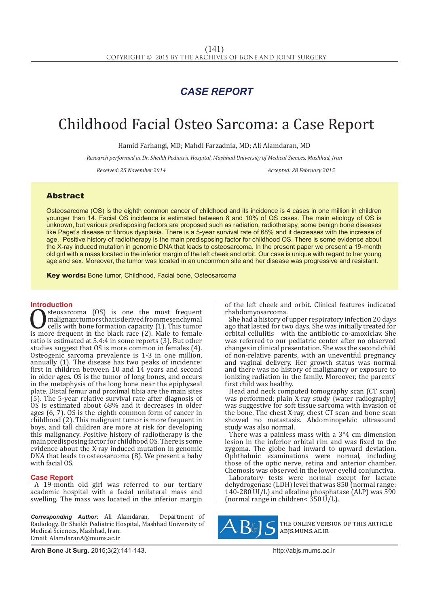## *CASE REPORT*

# Childhood Facial Osteo Sarcoma: a Case Report

Hamid Farhangi, MD; Mahdi Farzadnia, MD; Ali Alamdaran, MD

*Research performed at Dr. Sheikh Pediatric Hospital, Mashhad University of Medical Siences, Mashhad, Iran*

*Received: 25 November 2014 Accepted: 28 February 2015*

### Abstract

Osteosarcoma (OS) is the eighth common cancer of childhood and its incidence is 4 cases in one million in children younger than 14. Facial OS incidence is estimated between 8 and 10% of OS cases. The main etiology of OS is unknown, but various predisposing factors are proposed such as radiation, radiotherapy, some benign bone diseases like Paget's disease or fibrous dysplasia. There is a 5-year survival rate of 68% and it decreases with the increase of age. Positive history of radiotherapy is the main predisposing factor for childhood OS. There is some evidence about the X-ray induced mutation in genomic DNA that leads to osteosarcoma. In the present paper we present a 19-month old girl with a mass located in the inferior margin of the left cheek and orbit. Our case is unique with regard to her young age and sex. Moreover, the tumor was located in an uncommon site and her disease was progressive and resistant.

Key words: Bone tumor, Childhood, Facial bone, Osteosarcoma

**Introduction**<br>steosarcoma (OS) is one the most frequent **OSTERRY SUBSERVIER CONSTREMENT CONSTREMENT CONSTREMENT CONSTREMENT (2).** This tumor is more frequent in the black race (2). Male to female ratio is estimated at 5.4.4 in some reports (3). But other malignant tumors that is derived from mesenchymal cells with bone formation capacity (1). This tumor ratio is estimated at 5.4:4 in some reports (3). But other studies suggest that OS is more common in females (4). Osteogenic sarcoma prevalence is 1-3 in one million, annually (1). The disease has two peaks of incidence: first in children between 10 and  $14$  years and second in older ages. OS is the tumor of long bones, and occurs in the metaphysis of the long bone near the epiphyseal plate. Distal femur and proximal tibia are the main sites (5). The 5-year relative survival rate after diagnosis of OS is estimated about 68% and it decreases in older ages (6, 7). OS is the eighth common form of cancer in childhood (2). This malignant tumor is more frequent in boys, and tall children are more at risk for developing this malignancy. Positive history of radiotherapy is the main predisposing factor for childhood OS. There is some evidence about the X-ray induced mutation in genomic DNA that leads to osteosarcoma (8). We present a baby with facial OS.

#### **Case Report**

A 19-month old girl was referred to our tertiary academic hospital with a facial unilateral mass and swelling. The mass was located in the inferior margin

*Corresponding Author:* Ali Alamdaran, Department of Radiology, Dr Sheikh Pediatric Hospital, Mashhad University of Medical Sciences, Mashhad, Iran. Email: AlamdaranA@mums.ac.ir

of the left cheek and orbit. Clinical features indicated rhabdomyosarcoma.

She had a history of upper respiratory infection 20 days ago that lasted for two days. She was initially treated for orbital cellulitis with the antibiotic co-amoxiclav. She was referred to our pediatric center after no observed changes in clinical presentation. She was the second child of non-relative parents, with an uneventful pregnancy and vaginal delivery. Her growth status was normal and there was no history of malignancy or exposure to ionizing radiation in the family. Moreover, the parents' first child was healthy.

Head and neck computed tomography scan (CT scan) was performed; plain X-ray study (water radiography) was suggestive for soft tissue sarcoma with invasion of the bone. The chest X-ray, chest CT scan and bone scan showed no metastasis. Abdominopelvic ultrasound study was also normal.

There was a painless mass with a 3\*4 cm dimension lesion in the inferior orbital rim and was fixed to the zygoma. The globe had inward to upward deviation. Ophthalmic examinations were normal, including those of the optic nerve, retina and anterior chamber. Chemosis was observed in the lower eyelid conjunctiva.

Laboratory tests were normal except for lactate dehydrogenase (LDH) level that was 850 (normal range: 140-280 UI/L) and alkaline phosphatase (ALP) was 590 (normal range in children< $350 \text{ U/L}$ ).



the online version of this article abjs.mums.ac.ir

**Arch Bone Jt Surg.** 2015;3(2):141-143.http://abjs.mums.ac.ir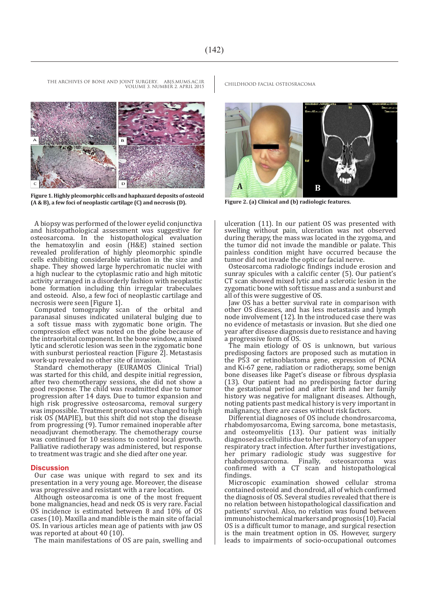VOLUME 3. NUMBER 2. APRIL 2015

**Figure 1. Highly pleomorphic cells and haphazard deposits of osteoid (A & B), a few foci of neoplastic cartilage (C) and necrosis (D). Figure 2. (a) Clinical and (b) radiologic features.**

A biopsy was performed of the lower eyelid conjunctiva and histopathological assessment was suggestive for osteosarcoma. In the histopathological evaluation the hematoxylin and eosin (H&E) stained section revealed proliferation of highly pleomorphic spindle cells exhibiting considerable variation in the size and shape. They showed large hyperchromatic nuclei with a high nuclear to the cytoplasmic ratio and high mitotic activity arranged in a disorderly fashion with neoplastic bone formation including thin irregular trabeculaes and osteoid. Also, a few foci of neoplastic cartilage and necrosis were seen [Figure 1].

Computed tomography scan of the orbital and paranasal sinuses indicated unilateral bulging due to a soft tissue mass with zygomatic bone origin. The compression effect was noted on the globe because of the intraorbital component. In the bone window, a mixed lytic and sclerotic lesion was seen in the zygomatic bone with sunburst periosteal reaction [Figure  $2$ ]. Metastasis work-up revealed no other site of invasion.

Standard chemotherapy (EURAMOS Clinical Trial) was started for this child, and despite initial regression, after two chemotherapy sessions, she did not show a good response. The child was readmitted due to tumor progression after 14 days. Due to tumor expansion and high risk progressive osteosarcoma, removal surgery was impossible. Treatment protocol was changed to high risk OS (MAPIE), but this shift did not stop the disease from progressing (9). Tumor remained inoperable after neoadjuvant chemotherapy. The chemotherapy course was continued for 10 sessions to control local growth. Palliative radiotherapy was administered, but response to treatment was tragic and she died after one year.

#### **Discussion**

Our case was unique with regard to sex and its presentation in a very young age. Moreover, the disease was progressive and resistant with a rare location.

Although osteosarcoma is one of the most frequent bone malignancies, head and neck OS is very rare. Facial OS incidence is estimated between 8 and 10% of OS cases (10). Maxilla and mandible is the main site of facial OS. In various articles mean age of patients with jaw OS was reported at about 40  $(10)$ 

The main manifestations of OS are pain, swelling and



ulceration (11). In our patient OS was presented with swelling without pain, ulceration was not observed during therapy, the mass was located in the zygoma, and the tumor did not invade the mandible or palate. This painless condition might have occurred because the tumor did not invade the optic or facial nerve.

Osteosarcoma radiologic findings include erosion and sunray spicules with a calcific center (5). Our patient's CT scan showed mixed lytic and a sclerotic lesion in the zygomatic bone with soft tissue mass and a sunburst and all of this were suggestive of OS.

Jaw OS has a better survival rate in comparison with other OS diseases, and has less metastasis and lymph node involvement (12). In the introduced case there was no evidence of metastasis or invasion. But she died one year after disease diagnosis due to resistance and having a progressive form of OS.

The main etiology of OS is unknown, but various predisposing factors are proposed such as mutation in the P53 or retinoblastoma gene, expression of PCNA and Ki-67 gene, radiation or radiotherapy, some benign bone diseases like Paget's disease or fibrous dysplasia (13). Our patient had no predisposing factor during the gestational period and after birth and her family history was negative for malignant diseases. Although, noting patients past medical history is very important in malignancy, there are cases without risk factors.

Differential diagnoses of OS include chondrosarcoma, rhabdomyosarcoma, Ewing sarcoma, bone metastasis, and osteomyelitis (13). Our patient was initially diagnosed as cellulitis due to her past history of an upper respiratory tract infection. After further investigations, her primary radiologic study was suggestive for<br>rhabdomyosarcoma. Finally, osteosarcoma was rhabdomyosarcoma. confirmed with a CT scan and histopathological findings.

Microscopic examination showed cellular stroma contained osteoid and chondroid, all of which confirmed the diagnosis of OS. Several studies revealed that there is no relation between histopathological classification and patients' survival. Also, no relation was found between immunohistochemical markers and prognosis (10). Facial OS is a difficult tumor to manage, and surgical resection is the main treatment option in OS. However, surgery leads to impairments of socio-occupational outcomes

THE ARCHIVES OF BONE AND JOINT SURGERY. ABJS.MUMS.AC.IR CHILDHOOD FACIAL OSTEOSRACOMA